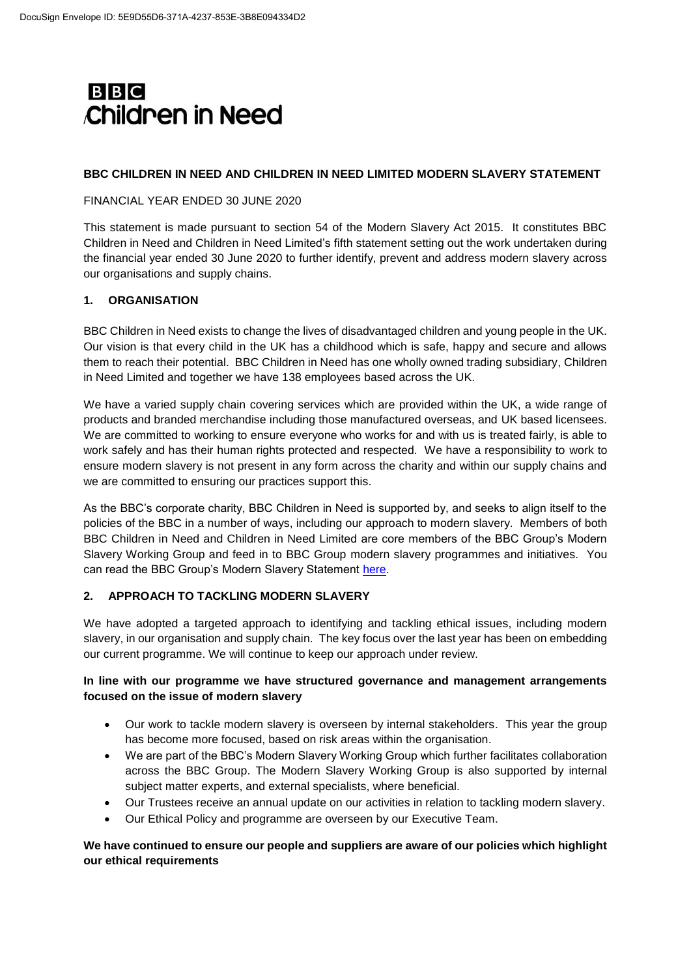

### **BBC CHILDREN IN NEED AND CHILDREN IN NEED LIMITED MODERN SLAVERY STATEMENT**

## FINANCIAL YEAR ENDED 30 JUNE 2020

This statement is made pursuant to section 54 of the Modern Slavery Act 2015. It constitutes BBC Children in Need and Children in Need Limited's fifth statement setting out the work undertaken during the financial year ended 30 June 2020 to further identify, prevent and address modern slavery across our organisations and supply chains.

## **1. ORGANISATION**

BBC Children in Need exists to change the lives of disadvantaged children and young people in the UK. Our vision is that every child in the UK has a childhood which is safe, happy and secure and allows them to reach their potential. BBC Children in Need has one wholly owned trading subsidiary, Children in Need Limited and together we have 138 employees based across the UK.

We have a varied supply chain covering services which are provided within the UK, a wide range of products and branded merchandise including those manufactured overseas, and UK based licensees. We are committed to working to ensure everyone who works for and with us is treated fairly, is able to work safely and has their human rights protected and respected. We have a responsibility to work to ensure modern slavery is not present in any form across the charity and within our supply chains and we are committed to ensuring our practices support this.

As the BBC's corporate charity, BBC Children in Need is supported by, and seeks to align itself to the policies of the BBC in a number of ways, including our approach to modern slavery. Members of both BBC Children in Need and Children in Need Limited are core members of the BBC Group's Modern Slavery Working Group and feed in to BBC Group modern slavery programmes and initiatives. You can read the BBC Group's Modern Slavery Statement [here.](http://downloads.bbc.co.uk/aboutthebbc/reports/pdf/bbcmsa2019.pdf)

# **2. APPROACH TO TACKLING MODERN SLAVERY**

We have adopted a targeted approach to identifying and tackling ethical issues, including modern slavery, in our organisation and supply chain. The key focus over the last year has been on embedding our current programme. We will continue to keep our approach under review.

# **In line with our programme we have structured governance and management arrangements focused on the issue of modern slavery**

- Our work to tackle modern slavery is overseen by internal stakeholders. This year the group has become more focused, based on risk areas within the organisation.
- We are part of the BBC's Modern Slavery Working Group which further facilitates collaboration across the BBC Group. The Modern Slavery Working Group is also supported by internal subject matter experts, and external specialists, where beneficial.
- Our Trustees receive an annual update on our activities in relation to tackling modern slavery.
- Our Ethical Policy and programme are overseen by our Executive Team.

# **We have continued to ensure our people and suppliers are aware of our policies which highlight our ethical requirements**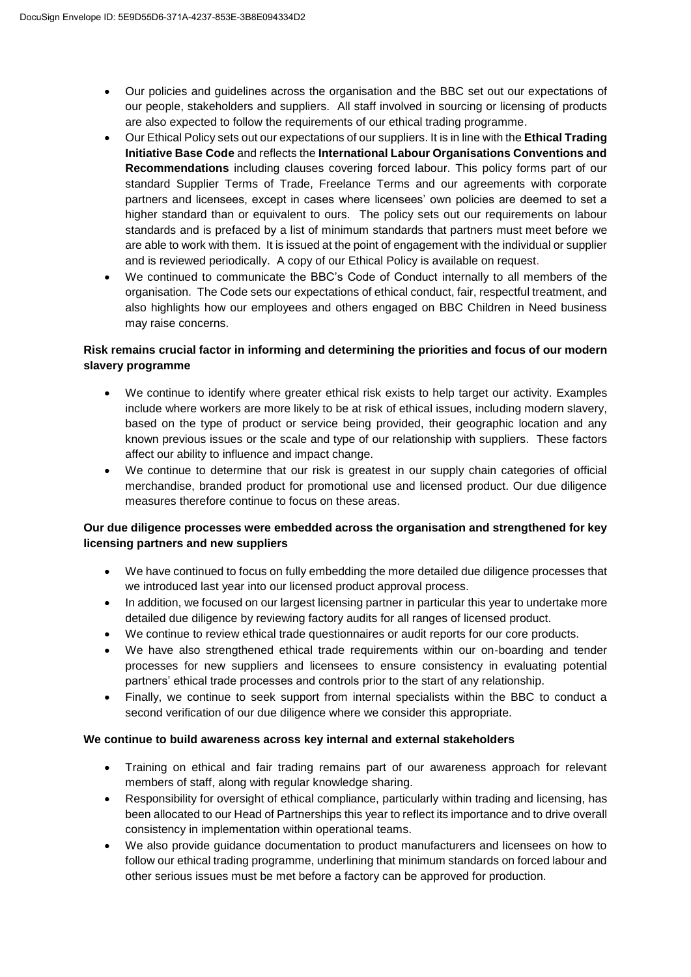- Our policies and guidelines across the organisation and the BBC set out our expectations of our people, stakeholders and suppliers. All staff involved in sourcing or licensing of products are also expected to follow the requirements of our ethical trading programme.
- Our Ethical Policy sets out our expectations of our suppliers. It is in line with the **Ethical Trading Initiative Base Code** and reflects the **International Labour Organisations Conventions and Recommendations** including clauses covering forced labour. This policy forms part of our standard Supplier Terms of Trade, Freelance Terms and our agreements with corporate partners and licensees, except in cases where licensees' own policies are deemed to set a higher standard than or equivalent to ours. The policy sets out our requirements on labour standards and is prefaced by a list of minimum standards that partners must meet before we are able to work with them. It is issued at the point of engagement with the individual or supplier and is reviewed periodically. A copy of our Ethical Policy is available on request.
- We continued to communicate the BBC's Code of Conduct internally to all members of the organisation. The Code sets our expectations of ethical conduct, fair, respectful treatment, and also highlights how our employees and others engaged on BBC Children in Need business may raise concerns.

# **Risk remains crucial factor in informing and determining the priorities and focus of our modern slavery programme**

- We continue to identify where greater ethical risk exists to help target our activity. Examples include where workers are more likely to be at risk of ethical issues, including modern slavery, based on the type of product or service being provided, their geographic location and any known previous issues or the scale and type of our relationship with suppliers. These factors affect our ability to influence and impact change.
- We continue to determine that our risk is greatest in our supply chain categories of official merchandise, branded product for promotional use and licensed product. Our due diligence measures therefore continue to focus on these areas.

# **Our due diligence processes were embedded across the organisation and strengthened for key licensing partners and new suppliers**

- We have continued to focus on fully embedding the more detailed due diligence processes that we introduced last year into our licensed product approval process.
- In addition, we focused on our largest licensing partner in particular this year to undertake more detailed due diligence by reviewing factory audits for all ranges of licensed product.
- We continue to review ethical trade questionnaires or audit reports for our core products.
- We have also strengthened ethical trade requirements within our on-boarding and tender processes for new suppliers and licensees to ensure consistency in evaluating potential partners' ethical trade processes and controls prior to the start of any relationship.
- Finally, we continue to seek support from internal specialists within the BBC to conduct a second verification of our due diligence where we consider this appropriate.

# **We continue to build awareness across key internal and external stakeholders**

- Training on ethical and fair trading remains part of our awareness approach for relevant members of staff, along with regular knowledge sharing.
- Responsibility for oversight of ethical compliance, particularly within trading and licensing, has been allocated to our Head of Partnerships this year to reflect its importance and to drive overall consistency in implementation within operational teams.
- We also provide guidance documentation to product manufacturers and licensees on how to follow our ethical trading programme, underlining that minimum standards on forced labour and other serious issues must be met before a factory can be approved for production.